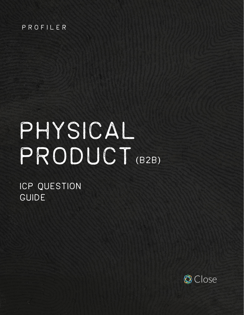#### PROFILER

# Physical product (B2B)

# ICP QUESTION GUIDE

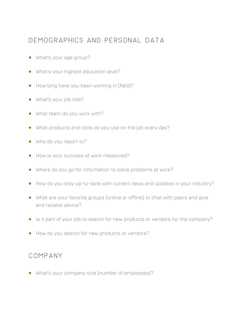#### Demographics and personal data

- **•** What's your age group?
- **•** What's your highest education level?
- **•** How long have you been working in [field]?
- **•** What's your job title?
- **•** What team do you work with?
- **•** What products and tools do you use on the job every day?
- **•** Who do you report to?
- **•** How is your success at work measured?
- **•** Where do you go for information to solve problems at work?
- **•** How do you stay up-to-date with current news and updates in your industry?
- **•** What are your favorite groups (online or offline) to chat with peers and give and receive advice?
- **•** Is it part of your job to search for new products or vendors for the company?
- **•** How do you search for new products or vendors?

#### Company

**•** What's your company size (number of employees)?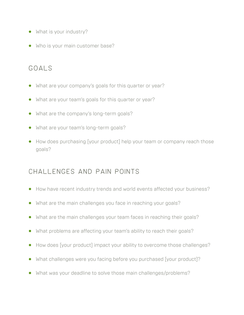- **•** What is your industry?
- **•** Who is your main customer base?

# Goals

- **•** What are your company's goals for this quarter or year?
- **•** What are your team's goals for this quarter or year?
- What are the company's long-term goals?
- **•** What are your team's long-term goals?
- **•** How does purchasing [your product] help your team or company reach those goals?

# Challenges and pain points

- **•** How have recent industry trends and world events affected your business?
- **•** What are the main challenges you face in reaching your goals?
- **•** What are the main challenges your team faces in reaching their goals?
- **•** What problems are affecting your team's ability to reach their goals?
- **•** How does [your product] impact your ability to overcome those challenges?
- **•** What challenges were you facing before you purchased [your product]?
- **•** What was your deadline to solve those main challenges/problems?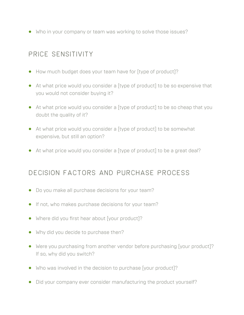**•** Who in your company or team was working to solve those issues?

#### PRICE SENSITIVITY

- **•** How much budget does your team have for [type of product]?
- **•** At what price would you consider a [type of product] to be so expensive that you would not consider buying it?
- **•** At what price would you consider a [type of product] to be so cheap that you doubt the quality of it?
- **•** At what price would you consider a [type of product] to be somewhat expensive, but still an option?
- **•** At what price would you consider a [type of product] to be a great deal?

#### Decision factors and purchase process

- **•** Do you make all purchase decisions for your team?
- **•** If not, who makes purchase decisions for your team?
- **•** Where did you first hear about [your product]?
- **•** Why did you decide to purchase then?
- **•** Were you purchasing from another vendor before purchasing [your product]? If so, why did you switch?
- **•** Who was involved in the decision to purchase [your product]?
- **•** Did your company ever consider manufacturing the product yourself?